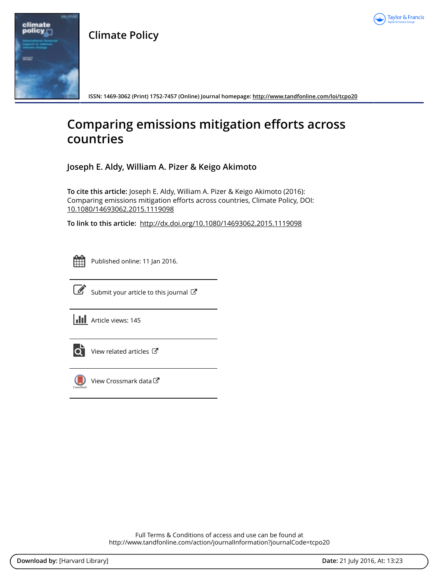

**Climate Policy**



**ISSN: 1469-3062 (Print) 1752-7457 (Online) Journal homepage:<http://www.tandfonline.com/loi/tcpo20>**

# **Comparing emissions mitigation efforts across countries**

**Joseph E. Aldy, William A. Pizer & Keigo Akimoto**

**To cite this article:** Joseph E. Aldy, William A. Pizer & Keigo Akimoto (2016): Comparing emissions mitigation efforts across countries, Climate Policy, DOI: [10.1080/14693062.2015.1119098](http://www.tandfonline.com/action/showCitFormats?doi=10.1080/14693062.2015.1119098)

**To link to this article:** <http://dx.doi.org/10.1080/14693062.2015.1119098>

|  |  | <b>Service Service</b> |
|--|--|------------------------|
|  |  |                        |
|  |  |                        |
|  |  |                        |

Published online: 11 Jan 2016.



 $\overline{\mathscr{L}}$  [Submit your article to this journal](http://www.tandfonline.com/action/authorSubmission?journalCode=tcpo20&page=instructions)  $\mathbb{Z}$ 

**III** Article views: 145



 $\overrightarrow{Q}$  [View related articles](http://www.tandfonline.com/doi/mlt/10.1080/14693062.2015.1119098)  $\overrightarrow{C}$ 



[View Crossmark data](http://crossmark.crossref.org/dialog/?doi=10.1080/14693062.2015.1119098&domain=pdf&date_stamp=2016-01-11)<sup>で</sup>

Full Terms & Conditions of access and use can be found at <http://www.tandfonline.com/action/journalInformation?journalCode=tcpo20>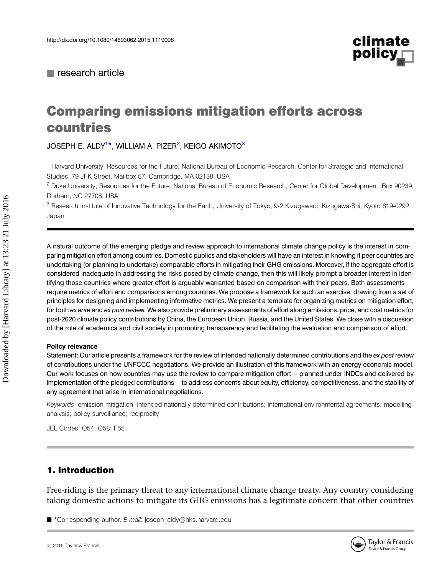## Comparing emissions mitigation efforts across countries

JOSEPH E. ALDY $^{1\star}$ , William A. Pizer $^2$ , Keigo akimoto $^3$ 

<sup>1</sup> Harvard University, Resources for the Future, National Bureau of Economic Research, Center for Strategic and International Studies, 79 JFK Street, Mailbox 57, Cambridge, MA 02138, USA

<sup>2</sup> Duke University, Resources for the Future, National Bureau of Economic Research, Center for Global Development, Box 90239, Durham, NC 27708, USA

<sup>3</sup> Research Institute of Innovative Technology for the Earth, University of Tokyo, 9-2 Kizugawadi, Kizugawa-Shi, Kyoto 619-0292, Japan

A natural outcome of the emerging pledge and review approach to international climate change policy is the interest in comparing mitigation effort among countries. Domestic publics and stakeholders will have an interest in knowing if peer countries are undertaking (or planning to undertake) comparable efforts in mitigating their GHG emissions. Moreover, if the aggregate effort is considered inadequate in addressing the risks posed by climate change, then this will likely prompt a broader interest in identifying those countries where greater effort is arguably warranted based on comparison with their peers. Both assessments require metrics of effort and comparisons among countries. We propose a framework for such an exercise, drawing from a set of principles for designing and implementing informative metrics. We present a template for organizing metrics on mitigation effort, for both ex ante and ex post review. We also provide preliminary assessments of effort along emissions, price, and cost metrics for post-2020 climate policy contributions by China, the European Union, Russia, and the United States. We close with a discussion of the role of academics and civil society in promoting transparency and facilitating the evaluation and comparison of effort.

#### Policy relevance

Statement: Our article presents a framework for the review of intended nationally determined contributions and the ex post review of contributions under the UNFCCC negotiations. We provide an illustration of this framework with an energy-economic model. Our work focuses on how countries may use the review to compare mitigation effort – planned under INDCs and delivered by implementation of the pledged contributions – to address concerns about equity, efficiency, competitiveness, and the stability of any agreement that arise in international negotiations.

Keywords: emission mitigation; intended nationally determined contributions; international environmental agreements; modelling analysis; policy surveillance; reciprocity

JEL Codes: Q54; Q58; F55

### 1. Introduction

Free-riding is the primary threat to any international climate change treaty. Any country considering taking domestic actions to mitigate its GHG emissions has a legitimate concern that other countries

 $\blacksquare$  \*Corresponding author. E-mail: [joseph\\_aldy@hks.harvard.edu](mailto:joseph_aldy@hks.harvard.edu)

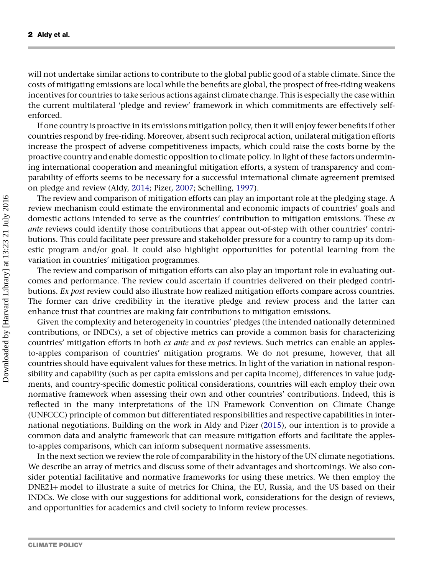<span id="page-2-0"></span>will not undertake similar actions to contribute to the global public good of a stable climate. Since the costs of mitigating emissions are local while the benefits are global, the prospect of free-riding weakens incentives for countries to take serious actions against climate change. This is especially the case within the current multilateral 'pledge and review' framework in which commitments are effectively selfenforced.

If one country is proactive in its emissions mitigation policy, then it will enjoy fewer benefits if other countries respond by free-riding. Moreover, absent such reciprocal action, unilateral mitigation efforts increase the prospect of adverse competitiveness impacts, which could raise the costs borne by the proactive country and enable domestic opposition to climate policy. In light of these factors undermining international cooperation and meaningful mitigation efforts, a system of transparency and comparability of efforts seems to be necessary for a successful international climate agreement premised on pledge and review (Aldy, [2014](#page-13-0); Pizer, [2007;](#page-14-0) Schelling, [1997](#page-14-0)).

The review and comparison of mitigation efforts can play an important role at the pledging stage. A review mechanism could estimate the environmental and economic impacts of countries' goals and domestic actions intended to serve as the countries' contribution to mitigation emissions. These  $ex$ ante reviews could identify those contributions that appear out-of-step with other countries' contributions. This could facilitate peer pressure and stakeholder pressure for a country to ramp up its domestic program and/or goal. It could also highlight opportunities for potential learning from the variation in countries' mitigation programmes.

The review and comparison of mitigation efforts can also play an important role in evaluating outcomes and performance. The review could ascertain if countries delivered on their pledged contributions. Ex post review could also illustrate how realized mitigation efforts compare across countries. The former can drive credibility in the iterative pledge and review process and the latter can enhance trust that countries are making fair contributions to mitigation emissions.

Given the complexity and heterogeneity in countries' pledges (the intended nationally determined contributions, or INDCs), a set of objective metrics can provide a common basis for characterizing countries' mitigation efforts in both *ex ante* and *ex post* reviews. Such metrics can enable an applesto-apples comparison of countries' mitigation programs. We do not presume, however, that all countries should have equivalent values for these metrics. In light of the variation in national responsibility and capability (such as per capita emissions and per capita income), differences in value judgments, and country-specific domestic political considerations, countries will each employ their own normative framework when assessing their own and other countries' contributions. Indeed, this is reflected in the many interpretations of the UN Framework Convention on Climate Change (UNFCCC) principle of common but differentiated responsibilities and respective capabilities in international negotiations. Building on the work in Aldy and Pizer ([2015](#page-13-0)), our intention is to provide a common data and analytic framework that can measure mitigation efforts and facilitate the applesto-apples comparisons, which can inform subsequent normative assessments.

In the next section we review the role of comparability in the history of the UN climate negotiations. We describe an array of metrics and discuss some of their advantages and shortcomings. We also consider potential facilitative and normative frameworks for using these metrics. We then employ the DNE21+ model to illustrate a suite of metrics for China, the EU, Russia, and the US based on their INDCs. We close with our suggestions for additional work, considerations for the design of reviews, and opportunities for academics and civil society to inform review processes.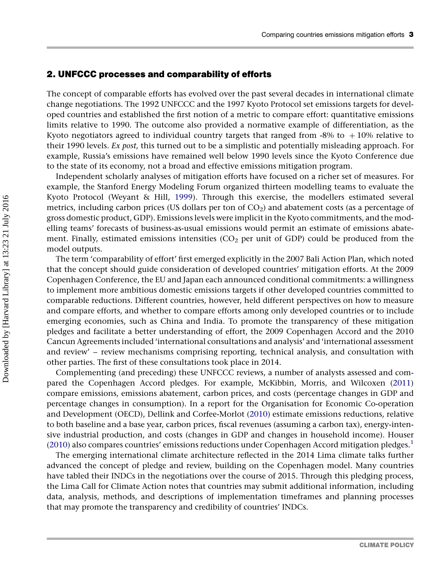#### <span id="page-3-0"></span>2. UNFCCC processes and comparability of efforts

The concept of comparable efforts has evolved over the past several decades in international climate change negotiations. The 1992 UNFCCC and the 1997 Kyoto Protocol set emissions targets for developed countries and established the first notion of a metric to compare effort: quantitative emissions limits relative to 1990. The outcome also provided a normative example of differentiation, as the Kyoto negotiators agreed to individual country targets that ranged from -8% to  $+10\%$  relative to their 1990 levels. Ex post, this turned out to be a simplistic and potentially misleading approach. For example, Russia's emissions have remained well below 1990 levels since the Kyoto Conference due to the state of its economy, not a broad and effective emissions mitigation program.

Independent scholarly analyses of mitigation efforts have focused on a richer set of measures. For example, the Stanford Energy Modeling Forum organized thirteen modelling teams to evaluate the Kyoto Protocol (Weyant & Hill, [1999\)](#page-15-0). Through this exercise, the modellers estimated several metrics, including carbon prices (US dollars per ton of  $CO<sub>2</sub>$ ) and abatement costs (as a percentage of gross domestic product, GDP). Emissions levels were implicit in the Kyoto commitments, and the modelling teams' forecasts of business-as-usual emissions would permit an estimate of emissions abatement. Finally, estimated emissions intensities  $(CO<sub>2</sub>$  per unit of GDP) could be produced from the model outputs.

The term 'comparability of effort' first emerged explicitly in the 2007 Bali Action Plan, which noted that the concept should guide consideration of developed countries' mitigation efforts. At the 2009 Copenhagen Conference, the EU and Japan each announced conditional commitments: a willingness to implement more ambitious domestic emissions targets if other developed countries committed to comparable reductions. Different countries, however, held different perspectives on how to measure and compare efforts, and whether to compare efforts among only developed countries or to include emerging economies, such as China and India. To promote the transparency of these mitigation pledges and facilitate a better understanding of effort, the 2009 Copenhagen Accord and the 2010 Cancun Agreements included 'international consultations and analysis' and 'international assessment and review' – review mechanisms comprising reporting, technical analysis, and consultation with other parties. The first of these consultations took place in 2014.

Complementing (and preceding) these UNFCCC reviews, a number of analysts assessed and compared the Copenhagen Accord pledges. For example, McKibbin, Morris, and Wilcoxen ([2011](#page-14-0)) compare emissions, emissions abatement, carbon prices, and costs (percentage changes in GDP and percentage changes in consumption). In a report for the Organisation for Economic Co-operation and Development (OECD), Dellink and Corfee-Morlot ([2010\)](#page-14-0) estimate emissions reductions, relative to both baseline and a base year, carbon prices, fiscal revenues (assuming a carbon tax), energy-intensive industrial production, and costs (changes in GDP and changes in household income). Houser  $(2010)$  also compares countries' emissions reductions under Copenhagen Accord mitigation pledges.<sup>[1](#page-13-0)</sup>

The emerging international climate architecture reflected in the 2014 Lima climate talks further advanced the concept of pledge and review, building on the Copenhagen model. Many countries have tabled their INDCs in the negotiations over the course of 2015. Through this pledging process, the Lima Call for Climate Action notes that countries may submit additional information, including data, analysis, methods, and descriptions of implementation timeframes and planning processes that may promote the transparency and credibility of countries' INDCs.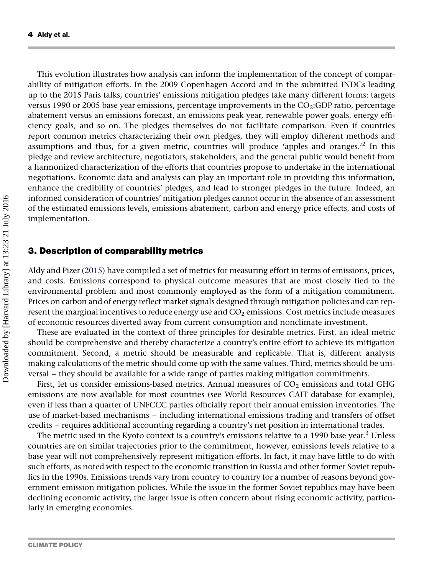This evolution illustrates how analysis can inform the implementation of the concept of comparability of mitigation efforts. In the 2009 Copenhagen Accord and in the submitted INDCs leading up to the 2015 Paris talks, countries' emissions mitigation pledges take many different forms: targets versus 1990 or 2005 base year emissions, percentage improvements in the CO<sub>2</sub>:GDP ratio, percentage abatement versus an emissions forecast, an emissions peak year, renewable power goals, energy efficiency goals, and so on. The pledges themselves do not facilitate comparison. Even if countries report common metrics characterizing their own pledges, they will employ different methods and assumptions and thus, for a given metric, countries will produce 'apples and oranges.'<sup>[2](#page-13-0)</sup> In this pledge and review architecture, negotiators, stakeholders, and the general public would benefit from a harmonized characterization of the efforts that countries propose to undertake in the international negotiations. Economic data and analysis can play an important role in providing this information, enhance the credibility of countries' pledges, and lead to stronger pledges in the future. Indeed, an informed consideration of countries' mitigation pledges cannot occur in the absence of an assessment of the estimated emissions levels, emissions abatement, carbon and energy price effects, and costs of implementation.

#### 3. Description of comparability metrics

Aldy and Pizer [\(2015](#page-13-0)) have compiled a set of metrics for measuring effort in terms of emissions, prices, and costs. Emissions correspond to physical outcome measures that are most closely tied to the environmental problem and most commonly employed as the form of a mitigation commitment. Prices on carbon and of energy reflect market signals designed through mitigation policies and can represent the marginal incentives to reduce energy use and  $CO<sub>2</sub>$  emissions. Cost metrics include measures of economic resources diverted away from current consumption and nonclimate investment.

These are evaluated in the context of three principles for desirable metrics. First, an ideal metric should be comprehensive and thereby characterize a country's entire effort to achieve its mitigation commitment. Second, a metric should be measurable and replicable. That is, different analysts making calculations of the metric should come up with the same values. Third, metrics should be universal – they should be available for a wide range of parties making mitigation commitments.

First, let us consider emissions-based metrics. Annual measures of  $CO<sub>2</sub>$  emissions and total GHG emissions are now available for most countries (see World Resources CAIT database for example), even if less than a quarter of UNFCCC parties officially report their annual emission inventories. The use of market-based mechanisms – including international emissions trading and transfers of offset credits – requires additional accounting regarding a country's net position in international trades.

The metric used in the Kyoto context is a country's emissions relative to a 1990 base year.<sup>3</sup> Unless countries are on similar trajectories prior to the commitment, however, emissions levels relative to a base year will not comprehensively represent mitigation efforts. In fact, it may have little to do with such efforts, as noted with respect to the economic transition in Russia and other former Soviet republics in the 1990s. Emissions trends vary from country to country for a number of reasons beyond government emission mitigation policies. While the issue in the former Soviet republics may have been declining economic activity, the larger issue is often concern about rising economic activity, particularly in emerging economies.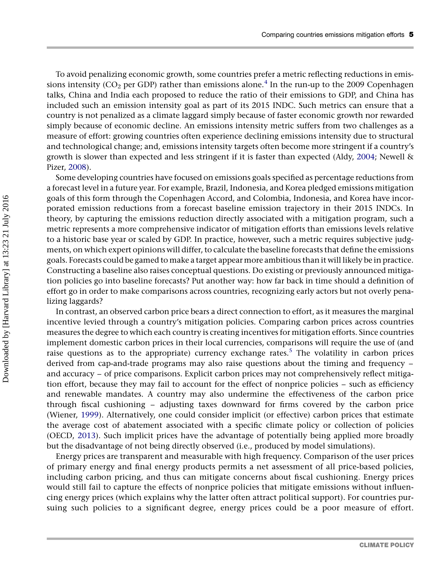<span id="page-5-0"></span>To avoid penalizing economic growth, some countries prefer a metric reflecting reductions in emissions intensity ( $CO<sub>2</sub>$  per GDP) rather than emissions alone.<sup>[4](#page-13-0)</sup> In the run-up to the 2009 Copenhagen talks, China and India each proposed to reduce the ratio of their emissions to GDP, and China has included such an emission intensity goal as part of its 2015 INDC. Such metrics can ensure that a country is not penalized as a climate laggard simply because of faster economic growth nor rewarded simply because of economic decline. An emissions intensity metric suffers from two challenges as a measure of effort: growing countries often experience declining emissions intensity due to structural and technological change; and, emissions intensity targets often become more stringent if a country's growth is slower than expected and less stringent if it is faster than expected (Aldy, [2004;](#page-13-0) Newell & Pizer, [2008\)](#page-14-0).

Some developing countries have focused on emissions goals specified as percentage reductions from a forecast level in a future year. For example, Brazil, Indonesia, and Korea pledged emissions mitigation goals of this form through the Copenhagen Accord, and Colombia, Indonesia, and Korea have incorporated emission reductions from a forecast baseline emission trajectory in their 2015 INDCs. In theory, by capturing the emissions reduction directly associated with a mitigation program, such a metric represents a more comprehensive indicator of mitigation efforts than emissions levels relative to a historic base year or scaled by GDP. In practice, however, such a metric requires subjective judgments, on which expert opinions will differ, to calculate the baseline forecasts that define the emissions goals. Forecasts could be gamed to make a target appear more ambitious than it will likely be in practice. Constructing a baseline also raises conceptual questions. Do existing or previously announced mitigation policies go into baseline forecasts? Put another way: how far back in time should a definition of effort go in order to make comparisons across countries, recognizing early actors but not overly penalizing laggards?

In contrast, an observed carbon price bears a direct connection to effort, as it measures the marginal incentive levied through a country's mitigation policies. Comparing carbon prices across countries measures the degree to which each country is creating incentives for mitigation efforts. Since countries implement domestic carbon prices in their local currencies, comparisons will require the use of (and raise questions as to the appropriate) currency exchange rates.<sup>[5](#page-13-0)</sup> The volatility in carbon prices derived from cap-and-trade programs may also raise questions about the timing and frequency – and accuracy – of price comparisons. Explicit carbon prices may not comprehensively reflect mitigation effort, because they may fail to account for the effect of nonprice policies – such as efficiency and renewable mandates. A country may also undermine the effectiveness of the carbon price through fiscal cushioning – adjusting taxes downward for firms covered by the carbon price (Wiener, [1999\)](#page-15-0). Alternatively, one could consider implicit (or effective) carbon prices that estimate the average cost of abatement associated with a specific climate policy or collection of policies (OECD, [2013](#page-14-0)). Such implicit prices have the advantage of potentially being applied more broadly but the disadvantage of not being directly observed (i.e., produced by model simulations).

Energy prices are transparent and measurable with high frequency. Comparison of the user prices of primary energy and final energy products permits a net assessment of all price-based policies, including carbon pricing, and thus can mitigate concerns about fiscal cushioning. Energy prices would still fail to capture the effects of nonprice policies that mitigate emissions without influencing energy prices (which explains why the latter often attract political support). For countries pursuing such policies to a significant degree, energy prices could be a poor measure of effort.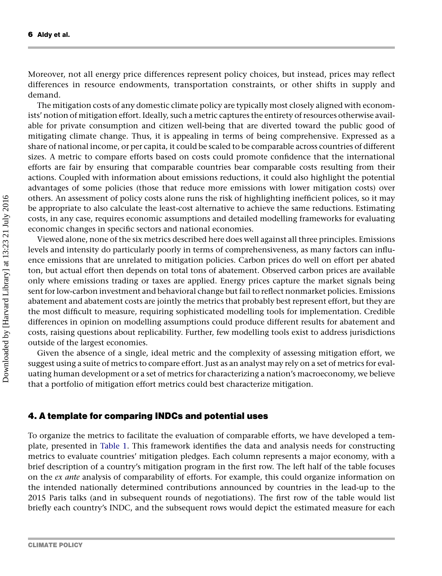Moreover, not all energy price differences represent policy choices, but instead, prices may reflect differences in resource endowments, transportation constraints, or other shifts in supply and demand.

The mitigation costs of any domestic climate policy are typically most closely aligned with economists' notion of mitigation effort. Ideally, such a metric captures the entirety of resources otherwise available for private consumption and citizen well-being that are diverted toward the public good of mitigating climate change. Thus, it is appealing in terms of being comprehensive. Expressed as a share of national income, or per capita, it could be scaled to be comparable across countries of different sizes. A metric to compare efforts based on costs could promote confidence that the international efforts are fair by ensuring that comparable countries bear comparable costs resulting from their actions. Coupled with information about emissions reductions, it could also highlight the potential advantages of some policies (those that reduce more emissions with lower mitigation costs) over others. An assessment of policy costs alone runs the risk of highlighting inefficient polices, so it may be appropriate to also calculate the least-cost alternative to achieve the same reductions. Estimating costs, in any case, requires economic assumptions and detailed modelling frameworks for evaluating economic changes in specific sectors and national economies.

Viewed alone, none of the six metrics described here does well against all three principles. Emissions levels and intensity do particularly poorly in terms of comprehensiveness, as many factors can influence emissions that are unrelated to mitigation policies. Carbon prices do well on effort per abated ton, but actual effort then depends on total tons of abatement. Observed carbon prices are available only where emissions trading or taxes are applied. Energy prices capture the market signals being sent for low-carbon investment and behavioral change but fail to reflect nonmarket policies. Emissions abatement and abatement costs are jointly the metrics that probably best represent effort, but they are the most difficult to measure, requiring sophisticated modelling tools for implementation. Credible differences in opinion on modelling assumptions could produce different results for abatement and costs, raising questions about replicability. Further, few modelling tools exist to address jurisdictions outside of the largest economies.

Given the absence of a single, ideal metric and the complexity of assessing mitigation effort, we suggest using a suite of metrics to compare effort. Just as an analyst may rely on a set of metrics for evaluating human development or a set of metrics for characterizing a nation's macroeconomy, we believe that a portfolio of mitigation effort metrics could best characterize mitigation.

#### 4. A template for comparing INDCs and potential uses

To organize the metrics to facilitate the evaluation of comparable efforts, we have developed a template, presented in [Table 1](#page-7-0). This framework identifies the data and analysis needs for constructing metrics to evaluate countries' mitigation pledges. Each column represents a major economy, with a brief description of a country's mitigation program in the first row. The left half of the table focuses on the ex ante analysis of comparability of efforts. For example, this could organize information on the intended nationally determined contributions announced by countries in the lead-up to the 2015 Paris talks (and in subsequent rounds of negotiations). The first row of the table would list briefly each country's INDC, and the subsequent rows would depict the estimated measure for each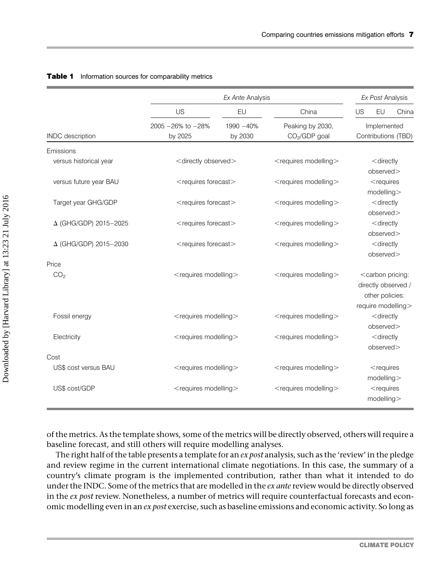|                              | Ex Ante Analysis                   |              |                                    | Ex Post Analysis                              |       |
|------------------------------|------------------------------------|--------------|------------------------------------|-----------------------------------------------|-------|
|                              | <b>US</b>                          | EU           | China                              | US<br>EU                                      | China |
|                              | 2005 -26% to -28%                  | $1990 - 40%$ | Peaking by 2030,                   | Implemented                                   |       |
| <b>INDC</b> description      | by 2030<br>by 2025                 |              | $CO2/GDP$ goal                     | Contributions (TBD)                           |       |
| Emissions                    |                                    |              |                                    |                                               |       |
| versus historical year       | <directly observed=""></directly>  |              | <requires modelling=""></requires> | $\leq$ directly                               |       |
|                              |                                    |              |                                    | observed>                                     |       |
| versus future year BAU       | <requires forecast=""></requires>  |              | <requires modelling=""></requires> | $<$ requires                                  |       |
|                              |                                    |              |                                    | modelling                                     |       |
| Target year GHG/GDP          | <requires forecast=""></requires>  |              | <requires modelling=""></requires> | $\leq$ directly                               |       |
|                              |                                    |              |                                    | observed>                                     |       |
| $\Delta$ (GHG/GDP) 2015-2025 | <requires forecast=""></requires>  |              | <requires modelling=""></requires> | $\leq$ directly                               |       |
|                              |                                    |              |                                    | observed>                                     |       |
| Δ (GHG/GDP) 2015-2030        | <requires forecast=""></requires>  |              | <requires modelling=""></requires> | $\leq$ directly                               |       |
|                              |                                    |              |                                    | observed>                                     |       |
| Price<br>CO <sub>2</sub>     | <requires modelling=""></requires> |              | <requires modelling=""></requires> | <carbon pricing:<="" td=""><td></td></carbon> |       |
|                              |                                    |              |                                    | directly observed /                           |       |
|                              |                                    |              |                                    | other policies:                               |       |
|                              |                                    |              |                                    | require modelling>                            |       |
| Fossil energy                | <requires modelling=""></requires> |              | <requires modelling=""></requires> | $\leq$ directly                               |       |
|                              |                                    |              |                                    | observed>                                     |       |
| Electricity                  | <requires modelling=""></requires> |              | <requires modelling=""></requires> | $\leq$ directly                               |       |
|                              |                                    |              |                                    | observed>                                     |       |
| Cost                         |                                    |              |                                    |                                               |       |
| US\$ cost versus BAU         | <requires modelling=""></requires> |              | <requires modelling=""></requires> | $<$ requires                                  |       |
|                              |                                    |              |                                    | modelling                                     |       |
| US\$ cost/GDP                | <requires modelling=""></requires> |              | <requires modelling=""></requires> | $<$ requires                                  |       |
|                              |                                    |              |                                    | modelling                                     |       |

#### <span id="page-7-0"></span>Table 1 Information sources for comparability metrics

of the metrics. As the template shows, some of the metrics will be directly observed, others will require a baseline forecast, and still others will require modelling analyses.

The right half of the table presents a template for an ex post analysis, such as the 'review' in the pledge and review regime in the current international climate negotiations. In this case, the summary of a country's climate program is the implemented contribution, rather than what it intended to do under the INDC. Some of the metrics that are modelled in the *ex ante* review would be directly observed in the ex post review. Nonetheless, a number of metrics will require counterfactual forecasts and economic modelling even in an ex post exercise, such as baseline emissions and economic activity. So long as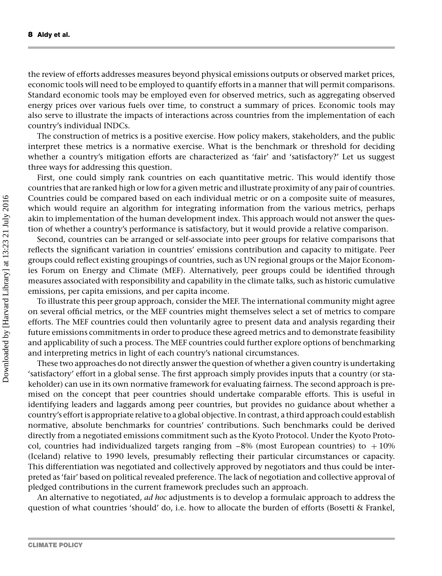<span id="page-8-0"></span>the review of efforts addresses measures beyond physical emissions outputs or observed market prices, economic tools will need to be employed to quantify efforts in a manner that will permit comparisons. Standard economic tools may be employed even for observed metrics, such as aggregating observed energy prices over various fuels over time, to construct a summary of prices. Economic tools may also serve to illustrate the impacts of interactions across countries from the implementation of each country's individual INDCs.

The construction of metrics is a positive exercise. How policy makers, stakeholders, and the public interpret these metrics is a normative exercise. What is the benchmark or threshold for deciding whether a country's mitigation efforts are characterized as 'fair' and 'satisfactory?' Let us suggest three ways for addressing this question.

First, one could simply rank countries on each quantitative metric. This would identify those countries that are ranked high or low for a given metric and illustrate proximity of any pair of countries. Countries could be compared based on each individual metric or on a composite suite of measures, which would require an algorithm for integrating information from the various metrics, perhaps akin to implementation of the human development index. This approach would not answer the question of whether a country's performance is satisfactory, but it would provide a relative comparison.

Second, countries can be arranged or self-associate into peer groups for relative comparisons that reflects the significant variation in countries' emissions contribution and capacity to mitigate. Peer groups could reflect existing groupings of countries, such as UN regional groups or the Major Economies Forum on Energy and Climate (MEF). Alternatively, peer groups could be identified through measures associated with responsibility and capability in the climate talks, such as historic cumulative emissions, per capita emissions, and per capita income.

To illustrate this peer group approach, consider the MEF. The international community might agree on several official metrics, or the MEF countries might themselves select a set of metrics to compare efforts. The MEF countries could then voluntarily agree to present data and analysis regarding their future emissions commitments in order to produce these agreed metrics and to demonstrate feasibility and applicability of such a process. The MEF countries could further explore options of benchmarking and interpreting metrics in light of each country's national circumstances.

These two approaches do not directly answer the question of whether a given country is undertaking 'satisfactory' effort in a global sense. The first approach simply provides inputs that a country (or stakeholder) can use in its own normative framework for evaluating fairness. The second approach is premised on the concept that peer countries should undertake comparable efforts. This is useful in identifying leaders and laggards among peer countries, but provides no guidance about whether a country's effort is appropriate relative to a global objective. In contrast, a third approach could establish normative, absolute benchmarks for countries' contributions. Such benchmarks could be derived directly from a negotiated emissions commitment such as the Kyoto Protocol. Under the Kyoto Protocol, countries had individualized targets ranging from  $-8\%$  (most European countries) to  $+10\%$ (Iceland) relative to 1990 levels, presumably reflecting their particular circumstances or capacity. This differentiation was negotiated and collectively approved by negotiators and thus could be interpreted as 'fair' based on political revealed preference. The lack of negotiation and collective approval of pledged contributions in the current framework precludes such an approach.

An alternative to negotiated, *ad hoc* adjustments is to develop a formulaic approach to address the question of what countries 'should' do, i.e. how to allocate the burden of efforts (Bosetti & Frankel,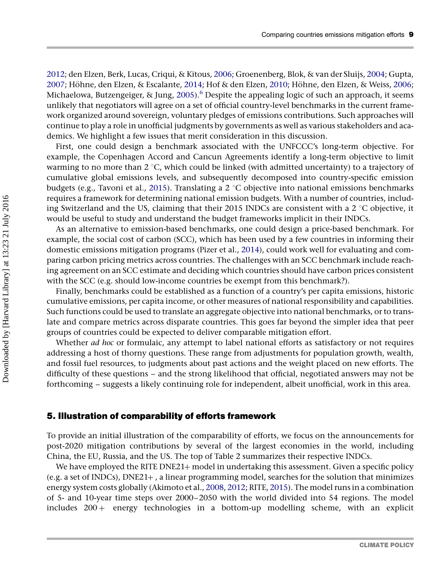<span id="page-9-0"></span>[2012;](#page-14-0) den Elzen, Berk, Lucas, Criqui, & Kitous, [2006](#page-14-0); Groenenberg, Blok, & van der Sluijs, [2004;](#page-14-0) Gupta, [2007;](#page-14-0) Höhne, den Elzen, & Escalante, [2014](#page-14-0); Hof & den Elzen, [2010;](#page-14-0) Höhne, den Elzen, & Weiss, [2006;](#page-14-0) Michaelowa, Butzengeiger, & Jung, [2005\)](#page-14-0).<sup>[6](#page-13-0)</sup> Despite the appealing logic of such an approach, it seems unlikely that negotiators will agree on a set of official country-level benchmarks in the current framework organized around sovereign, voluntary pledges of emissions contributions. Such approaches will continue to play a role in unofficial judgments by governments as well as various stakeholders and academics. We highlight a few issues that merit consideration in this discussion.

First, one could design a benchmark associated with the UNFCCC's long-term objective. For example, the Copenhagen Accord and Cancun Agreements identify a long-term objective to limit warming to no more than  $2^{\circ}$ C, which could be linked (with admitted uncertainty) to a trajectory of cumulative global emissions levels, and subsequently decomposed into country-specific emission budgets (e.g., Tavoni et al., [2015\)](#page-14-0). Translating a  $2^{\circ}$ C objective into national emissions benchmarks requires a framework for determining national emission budgets. With a number of countries, including Switzerland and the US, claiming that their 2015 INDCs are consistent with a 2  $\degree$ C objective, it would be useful to study and understand the budget frameworks implicit in their INDCs.

As an alternative to emission-based benchmarks, one could design a price-based benchmark. For example, the social cost of carbon (SCC), which has been used by a few countries in informing their domestic emissions mitigation programs (Pizer et al., [2014](#page-14-0)), could work well for evaluating and comparing carbon pricing metrics across countries. The challenges with an SCC benchmark include reaching agreement on an SCC estimate and deciding which countries should have carbon prices consistent with the SCC (e.g. should low-income countries be exempt from this benchmark?).

Finally, benchmarks could be established as a function of a country's per capita emissions, historic cumulative emissions, per capita income, or other measures of national responsibility and capabilities. Such functions could be used to translate an aggregate objective into national benchmarks, or to translate and compare metrics across disparate countries. This goes far beyond the simpler idea that peer groups of countries could be expected to deliver comparable mitigation effort.

Whether *ad hoc* or formulaic, any attempt to label national efforts as satisfactory or not requires addressing a host of thorny questions. These range from adjustments for population growth, wealth, and fossil fuel resources, to judgments about past actions and the weight placed on new efforts. The difficulty of these questions – and the strong likelihood that official, negotiated answers may not be forthcoming – suggests a likely continuing role for independent, albeit unofficial, work in this area.

#### 5. Illustration of comparability of efforts framework

To provide an initial illustration of the comparability of efforts, we focus on the announcements for post-2020 mitigation contributions by several of the largest economies in the world, including China, the EU, Russia, and the US. The top of Table 2 summarizes their respective INDCs.

We have employed the RITE DNE21+ model in undertaking this assessment. Given a specific policy (e.g. a set of INDCs), DNE21+ , a linear programming model, searches for the solution that minimizes energy system costs globally (Akimoto et al., [2008](#page-13-0), [2012;](#page-13-0) RITE, [2015](#page-14-0)). The model runs in a combination of 5- and 10-year time steps over 2000–2050 with the world divided into 54 regions. The model includes  $200 +$  energy technologies in a bottom-up modelling scheme, with an explicit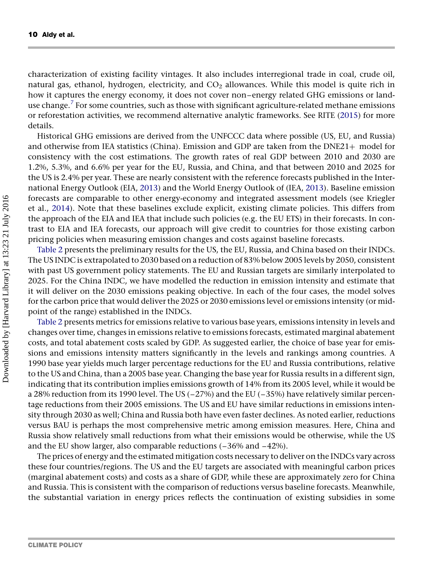<span id="page-10-0"></span>characterization of existing facility vintages. It also includes interregional trade in coal, crude oil, natural gas, ethanol, hydrogen, electricity, and  $CO<sub>2</sub>$  allowances. While this model is quite rich in how it captures the energy economy, it does not cover non – energy related GHG emissions or land-use change.<sup>[7](#page-13-0)</sup> For some countries, such as those with significant agriculture-related methane emissions or reforestation activities, we recommend alternative analytic frameworks. See RITE [\(2015](#page-14-0)) for more details.

Historical GHG emissions are derived from the UNFCCC data where possible (US, EU, and Russia) and otherwise from IEA statistics (China). Emission and GDP are taken from the DNE21+ model for consistency with the cost estimations. The growth rates of real GDP between 2010 and 2030 are 1.2%, 5.3%, and 6.6% per year for the EU, Russia, and China, and that between 2010 and 2025 for the US is 2.4% per year. These are nearly consistent with the reference forecasts published in the International Energy Outlook (EIA, [2013\)](#page-14-0) and the World Energy Outlook of (IEA, [2013](#page-14-0)). Baseline emission forecasts are comparable to other energy-economy and integrated assessment models (see Kriegler et al., [2014\)](#page-14-0). Note that these baselines exclude explicit, existing climate policies. This differs from the approach of the EIA and IEA that include such policies (e.g. the EU ETS) in their forecasts. In contrast to EIA and IEA forecasts, our approach will give credit to countries for those existing carbon pricing policies when measuring emission changes and costs against baseline forecasts.

[Table 2](#page-11-0) presents the preliminary results for the US, the EU, Russia, and China based on their INDCs. The US INDC is extrapolated to 2030 based on a reduction of 83% below 2005 levels by 2050, consistent with past US government policy statements. The EU and Russian targets are similarly interpolated to 2025. For the China INDC, we have modelled the reduction in emission intensity and estimate that it will deliver on the 2030 emissions peaking objective. In each of the four cases, the model solves for the carbon price that would deliver the 2025 or 2030 emissions level or emissions intensity (or midpoint of the range) established in the INDCs.

[Table 2](#page-11-0) presents metrics for emissions relative to various base years, emissions intensity in levels and changes over time, changes in emissions relative to emissions forecasts, estimated marginal abatement costs, and total abatement costs scaled by GDP. As suggested earlier, the choice of base year for emissions and emissions intensity matters significantly in the levels and rankings among countries. A 1990 base year yields much larger percentage reductions for the EU and Russia contributions, relative to the US and China, than a 2005 base year. Changing the base year for Russia results in a different sign, indicating that its contribution implies emissions growth of 14% from its 2005 level, while it would be a 28% reduction from its 1990 level. The US (–27%) and the EU (–35%) have relatively similar percentage reductions from their 2005 emissions. The US and EU have similar reductions in emissions intensity through 2030 as well; China and Russia both have even faster declines. As noted earlier, reductions versus BAU is perhaps the most comprehensive metric among emission measures. Here, China and Russia show relatively small reductions from what their emissions would be otherwise, while the US and the EU show larger, also comparable reductions (–36% and –42%).

The prices of energy and the estimated mitigation costs necessary to deliver on the INDCs vary across these four countries/regions. The US and the EU targets are associated with meaningful carbon prices (marginal abatement costs) and costs as a share of GDP, while these are approximately zero for China and Russia. This is consistent with the comparison of reductions versus baseline forecasts. Meanwhile, the substantial variation in energy prices reflects the continuation of existing subsidies in some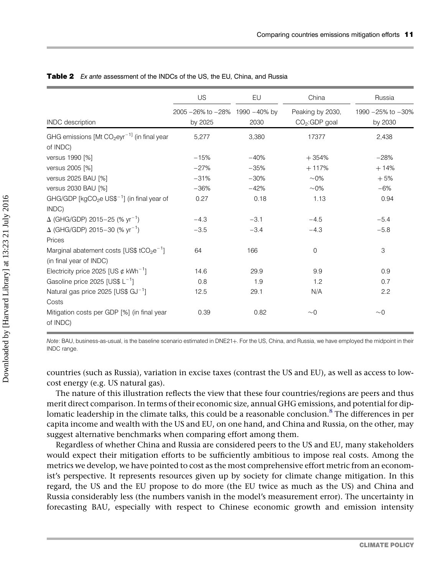|                                                                   | <b>US</b>                      | EU     | China                     | Russia             |
|-------------------------------------------------------------------|--------------------------------|--------|---------------------------|--------------------|
|                                                                   | 2005 -26% to -28% 1990 -40% by |        | Peaking by 2030,          | 1990 - 25% to -30% |
| <b>INDC</b> description                                           | by 2025                        | 2030   | CO <sub>2</sub> :GDP goal | by 2030            |
| GHG emissions $[Mt CO2eyr-1]$ (in final year                      | 5,277                          | 3,380  | 17377                     | 2,438              |
| of INDC)                                                          |                                |        |                           |                    |
| versus 1990 [%]                                                   | $-15%$                         | $-40%$ | $+354%$                   | $-28%$             |
| versus 2005 [%]                                                   | $-27%$                         | $-35%$ | $+117%$                   | $+14%$             |
| versus 2025 BAU [%]                                               | $-31%$                         | $-30%$ | $\sim$ 0%                 | $+5%$              |
| versus 2030 BAU [%]                                               | $-36%$                         | $-42%$ | $\sim$ 0%                 | $-6%$              |
| GHG/GDP $[kqCO_2e$ US\$ <sup>-1</sup> ] (in final year of         | 0.27                           | 0.18   | 1.13                      | 0.94               |
| INDC)                                                             |                                |        |                           |                    |
| $\Delta$ (GHG/GDP) 2015-25 (% yr <sup>-1</sup> )                  | $-4.3$                         | $-3.1$ | $-4.5$                    | $-5.4$             |
| $\Delta$ (GHG/GDP) 2015-30 (% yr <sup>-1</sup> )                  | $-3.5$                         | $-3.4$ | $-4.3$                    | $-5.8$             |
| Prices                                                            |                                |        |                           |                    |
| Marginal abatement costs [US\$ tCO <sub>2</sub> e <sup>-1</sup> ] | 64                             | 166    | $\mathbf 0$               | 3                  |
| (in final year of INDC)                                           |                                |        |                           |                    |
| Electricity price 2025 [US $\phi$ kWh <sup>-1</sup> ]             | 14.6                           | 29.9   | 9.9                       | 0.9                |
| Gasoline price 2025 [US\$ $L^{-1}$ ]                              | 0.8                            | 1.9    | 1.2                       | 0.7                |
| Natural gas price 2025 [US\$ $GJ^{-1}$ ]                          | 12.5                           | 29.1   | N/A                       | 2.2                |
| Costs                                                             |                                |        |                           |                    |
| Mitigation costs per GDP [%] (in final year<br>of INDC)           | 0.39                           | 0.82   | $\sim$ 0                  | $\sim$ 0           |

#### <span id="page-11-0"></span>**Table 2** Ex ante assessment of the INDCs of the US, the EU, China, and Russia

Note: BAU, business-as-usual, is the baseline scenario estimated in DNE21+. For the US, China, and Russia, we have employed the midpoint in their INDC range.

countries (such as Russia), variation in excise taxes (contrast the US and EU), as well as access to lowcost energy (e.g. US natural gas).

The nature of this illustration reflects the view that these four countries/regions are peers and thus merit direct comparison. In terms of their economic size, annual GHG emissions, and potential for dip-lomatic leadership in the climate talks, this could be a reasonable conclusion.<sup>[8](#page-13-0)</sup> The differences in per capita income and wealth with the US and EU, on one hand, and China and Russia, on the other, may suggest alternative benchmarks when comparing effort among them.

Regardless of whether China and Russia are considered peers to the US and EU, many stakeholders would expect their mitigation efforts to be sufficiently ambitious to impose real costs. Among the metrics we develop, we have pointed to cost as the most comprehensive effort metric from an economist's perspective. It represents resources given up by society for climate change mitigation. In this regard, the US and the EU propose to do more (the EU twice as much as the US) and China and Russia considerably less (the numbers vanish in the model's measurement error). The uncertainty in forecasting BAU, especially with respect to Chinese economic growth and emission intensity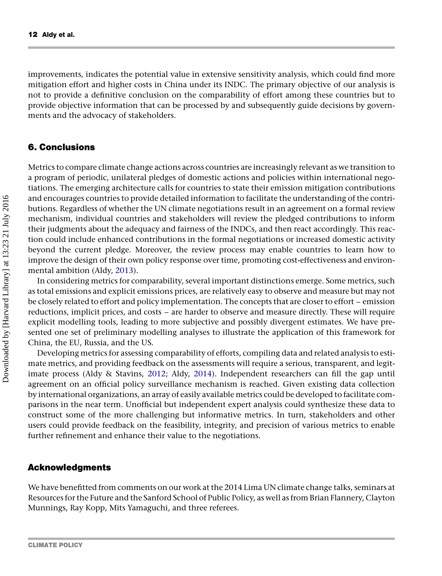<span id="page-12-0"></span>improvements, indicates the potential value in extensive sensitivity analysis, which could find more mitigation effort and higher costs in China under its INDC. The primary objective of our analysis is not to provide a definitive conclusion on the comparability of effort among these countries but to provide objective information that can be processed by and subsequently guide decisions by governments and the advocacy of stakeholders.

#### 6. Conclusions

Metrics to compare climate change actions across countries are increasingly relevant as we transition to a program of periodic, unilateral pledges of domestic actions and policies within international negotiations. The emerging architecture calls for countries to state their emission mitigation contributions and encourages countries to provide detailed information to facilitate the understanding of the contributions. Regardless of whether the UN climate negotiations result in an agreement on a formal review mechanism, individual countries and stakeholders will review the pledged contributions to inform their judgments about the adequacy and fairness of the INDCs, and then react accordingly. This reaction could include enhanced contributions in the formal negotiations or increased domestic activity beyond the current pledge. Moreover, the review process may enable countries to learn how to improve the design of their own policy response over time, promoting cost-effectiveness and environmental ambition (Aldy, [2013\)](#page-13-0).

In considering metrics for comparability, several important distinctions emerge. Some metrics, such as total emissions and explicit emissions prices, are relatively easy to observe and measure but may not be closely related to effort and policy implementation. The concepts that are closer to effort – emission reductions, implicit prices, and costs – are harder to observe and measure directly. These will require explicit modelling tools, leading to more subjective and possibly divergent estimates. We have presented one set of preliminary modelling analyses to illustrate the application of this framework for China, the EU, Russia, and the US.

Developing metrics for assessing comparability of efforts, compiling data and related analysis to estimate metrics, and providing feedback on the assessments will require a serious, transparent, and legitimate process (Aldy & Stavins, [2012;](#page-13-0) Aldy, [2014\)](#page-13-0). Independent researchers can fill the gap until agreement on an official policy surveillance mechanism is reached. Given existing data collection by international organizations, an array of easily available metrics could be developed to facilitate comparisons in the near term. Unofficial but independent expert analysis could synthesize these data to construct some of the more challenging but informative metrics. In turn, stakeholders and other users could provide feedback on the feasibility, integrity, and precision of various metrics to enable further refinement and enhance their value to the negotiations.

#### Acknowledgments

We have benefitted from comments on our work at the 2014 Lima UN climate change talks, seminars at Resources for the Future and the Sanford School of Public Policy, as well as from Brian Flannery, Clayton Munnings, Ray Kopp, Mits Yamaguchi, and three referees.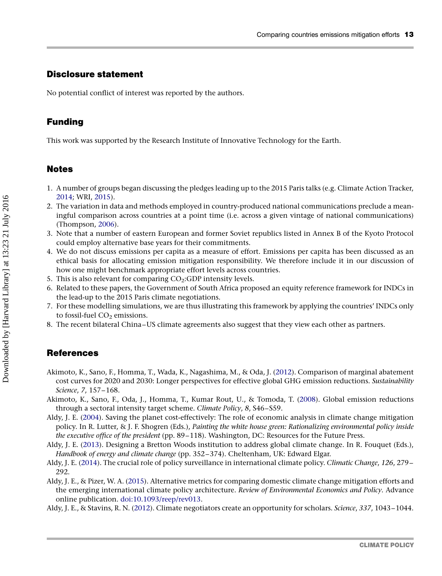#### <span id="page-13-0"></span>Disclosure statement

No potential conflict of interest was reported by the authors.

#### Funding

This work was supported by the Research Institute of Innovative Technology for the Earth.

#### **Notes**

- 1. A number of groups began discussing the pledges leading up to the 2015 Paris talks (e.g. Climate Action Tracker, [2014;](#page-14-0) WRI, [2015](#page-15-0)).
- 2. The variation in data and methods employed in country-produced national communications preclude a meaningful comparison across countries at a point time (i.e. across a given vintage of national communications) (Thompson, [2006\)](#page-15-0).
- 3. Note that a number of eastern European and former Soviet republics listed in Annex B of the Kyoto Protocol could employ alternative base years for their commitments.
- 4. We do not discuss emissions per capita as a measure of effort. Emissions per capita has been discussed as an ethical basis for allocating emission mitigation responsibility. We therefore include it in our discussion of how one might benchmark appropriate effort levels across countries.
- 5. This is also relevant for comparing  $CO<sub>2</sub>$ :GDP intensity levels.
- 6. Related to these papers, the Government of South Africa proposed an equity reference framework for INDCs in the lead-up to the 2015 Paris climate negotiations.
- 7. For these modelling simulations, we are thus illustrating this framework by applying the countries' INDCs only to fossil-fuel  $CO<sub>2</sub>$  emissions.
- 8. The recent bilateral China –US climate agreements also suggest that they view each other as partners.

#### **References**

- Akimoto, K., Sano, F., Homma, T., Wada, K., Nagashima, M., & Oda, J. [\(2012\)](#page-9-0). Comparison of marginal abatement cost curves for 2020 and 2030: Longer perspectives for effective global GHG emission reductions. Sustainability Science, 7, 157–168.
- Akimoto, K., Sano, F., Oda, J., Homma, T., Kumar Rout, U., & Tomoda, T. [\(2008\)](#page-9-0). Global emission reductions through a sectoral intensity target scheme. Climate Policy, 8, S46 – S59.
- Aldy, J. E. ([2004](#page-5-0)). Saving the planet cost-effectively: The role of economic analysis in climate change mitigation policy. In R. Lutter, & J. F. Shogren (Eds.), Painting the white house green: Rationalizing environmental policy inside the executive office of the president (pp. 89–118). Washington, DC: Resources for the Future Press.
- Aldy, J. E. ([2013](#page-12-0)). Designing a Bretton Woods institution to address global climate change. In R. Fouquet (Eds.), Handbook of energy and climate change (pp. 352 –374). Cheltenham, UK: Edward Elgar.
- Aldy, J. E. [\(2014\)](#page-2-0). The crucial role of policy surveillance in international climate policy. Climatic Change, 126, 279 292.
- Aldy, J. E., & Pizer, W. A. [\(2015\)](#page-2-0). Alternative metrics for comparing domestic climate change mitigation efforts and the emerging international climate policy architecture. Review of Environmental Economics and Policy. Advance online publication. [doi:10.1093/reep/rev013](http://dx.doi.org/10.1093/reep/rev013).
- Aldy, J. E., & Stavins, R. N. ([2012](#page-12-0)). Climate negotiators create an opportunity for scholars. Science, 337, 1043 –1044.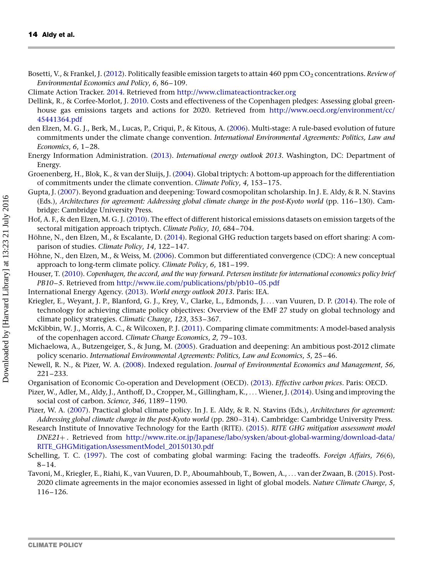<span id="page-14-0"></span>Bosetti, V., & Frankel, J. ([2012](#page-8-0)). Politically feasible emission targets to attain 460 ppm CO<sub>2</sub> concentrations. Review of Environmental Economics and Policy, 6, 86–109.

Climate Action Tracker. [2014.](#page-13-0) Retrieved from <http://www.climateactiontracker.org>

- Dellink, R., & Corfee-Morlot, J. [2010.](#page-3-0) Costs and effectiveness of the Copenhagen pledges: Assessing global greenhouse gas emissions targets and actions for 2020. Retrieved from [http://www.oecd.org/environment/cc/](http://www.oecd.org/environment/cc/45441364.pdf) [45441364.pdf](http://www.oecd.org/environment/cc/45441364.pdf)
- den Elzen, M. G. J., Berk, M., Lucas, P., Criqui, P., & Kitous, A. [\(2006\)](#page-9-0). Multi-stage: A rule-based evolution of future commitments under the climate change convention. International Environmental Agreements: Politics, Law and Economics, 6, 1 –28.
- Energy Information Administration. ([2013](#page-10-0)). International energy outlook 2013. Washington, DC: Department of Energy.
- Groenenberg, H., Blok, K., & van der Sluijs, J. [\(2004\)](#page-9-0). Global triptych: A bottom-up approach for the differentiation of commitments under the climate convention. Climate Policy, 4, 153 –175.
- Gupta, J. ([2007](#page-9-0)). Beyond graduation and deepening: Toward cosmopolitan scholarship. In J. E. Aldy, & R. N. Stavins (Eds.), Architectures for agreement: Addressing global climate change in the post-Kyoto world (pp. 116–130). Cambridge: Cambridge University Press.
- Hof, A. F., & den Elzen, M. G. J. [\(2010\)](#page-9-0). The effect of different historical emissions datasets on emission targets of the sectoral mitigation approach triptych. Climate Policy, 10, 684–704.
- Höhne, N., den Elzen, M., & Escalante, D. ([2014](#page-9-0)). Regional GHG reduction targets based on effort sharing: A comparison of studies. Climate Policy, 14, 122-147.
- Höhne, N., den Elzen, M., & Weiss, M. ([2006](#page-9-0)). Common but differentiated convergence (CDC): A new conceptual approach to long-term climate policy. Climate Policy, 6, 181 –199.
- Houser, T. [\(2010\)](#page-3-0). Copenhagen, the accord, and the way forward. Petersen institute for international economics policy brief PB10-5. Retrieved from http://www.iie.com/publications/pb/pb10-05.pdf
- International Energy Agency. ([2013](#page-10-0)). World energy outlook 2013. Paris: IEA.
- Kriegler, E., Weyant, J. P., Blanford, G. J., Krey, V., Clarke, L., Edmonds, J. ... van Vuuren, D. P. ([2014](#page-10-0)). The role of technology for achieving climate policy objectives: Overview of the EMF 27 study on global technology and climate policy strategies. Climatic Change, 123, 353–367.
- McKibbin, W. J., Morris, A. C., & Wilcoxen, P. J. [\(2011\)](#page-3-0). Comparing climate commitments: A model-based analysis of the copenhagen accord. Climate Change Economics, 2, 79–103.
- Michaelowa, A., Butzengeiger, S., & Jung, M. ([2005](#page-9-0)). Graduation and deepening: An ambitious post-2012 climate policy scenario. International Environmental Agreements: Politics, Law and Economics, 5, 25–46.
- Newell, R. N., & Pizer, W. A. ([2008](#page-5-0)). Indexed regulation. Journal of Environmental Economics and Management, 56, 221 –233.
- Organisation of Economic Co-operation and Development (OECD). ([2013](#page-5-0)). Effective carbon prices. Paris: OECD.
- Pizer, W., Adler, M., Aldy, J., Anthoff, D., Cropper, M., Gillingham, K., ... Wiener, J. [\(2014\)](#page-9-0). Using and improving the social cost of carbon. Science, 346, 1189–1190.
- Pizer, W. A. ([2007](#page-2-0)). Practical global climate policy. In J. E. Aldy, & R. N. Stavins (Eds.), Architectures for agreement: Addressing global climate change in the post-Kyoto world (pp. 280 –314). Cambridge: Cambridge University Press.
- Research Institute of Innovative Technology for the Earth (RITE). [\(2015\)](#page-9-0). RITE GHG mitigation assessment model DNE21+ . Retrieved from [http://www.rite.or.jp/Japanese/labo/sysken/about-global-warming/download-data/](http://www.rite.or.jp/Japanese/labo/sysken/about-global-warming/download-data/RITE_GHGMitigationAssessmentModel_20150130.pdf) [RITE\\_GHGMitigationAssessmentModel\\_20150130.pdf](http://www.rite.or.jp/Japanese/labo/sysken/about-global-warming/download-data/RITE_GHGMitigationAssessmentModel_20150130.pdf)
- Schelling, T. C. ([1997](#page-2-0)). The cost of combating global warming: Facing the tradeoffs. Foreign Affairs, 76(6),  $8 - 14.$
- Tavoni, M., Kriegler, E., Riahi, K., van Vuuren, D. P., Aboumahboub, T., Bowen, A., ... van der Zwaan, B. [\(2015\)](#page-9-0). Post-2020 climate agreements in the major economies assessed in light of global models. Nature Climate Change, 5,  $116 - 126$ .